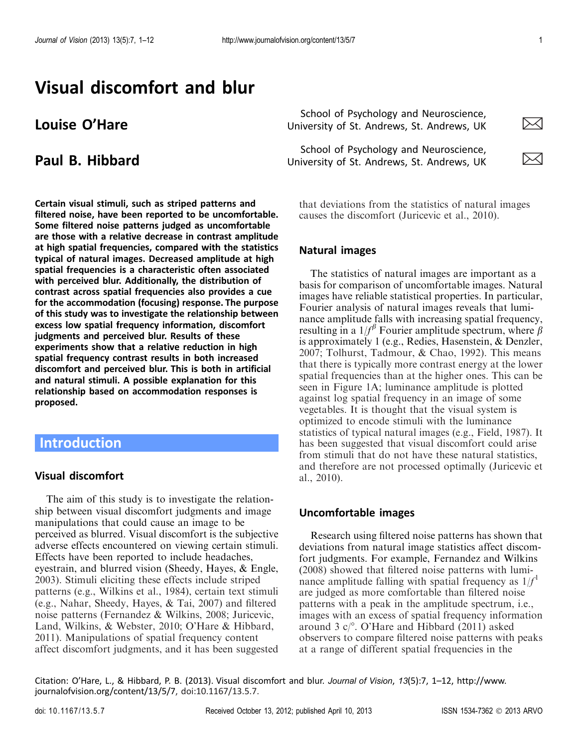# Visual discomfort and blur

Certain visual stimuli, such as striped patterns and filtered noise, have been reported to be uncomfortable. Some filtered noise patterns judged as uncomfortable are those with a relative decrease in contrast amplitude at high spatial frequencies, compared with the statistics typical of natural images. Decreased amplitude at high spatial frequencies is a characteristic often associated with perceived blur. Additionally, the distribution of contrast across spatial frequencies also provides a cue for the accommodation (focusing) response. The purpose of this study was to investigate the relationship between excess low spatial frequency information, discomfort judgments and perceived blur. Results of these experiments show that a relative reduction in high spatial frequency contrast results in both increased discomfort and perceived blur. This is both in artificial and natural stimuli. A possible explanation for this relationship based on accommodation responses is proposed.

# Introduction

### Visual discomfort

The aim of this study is to investigate the relationship between visual discomfort judgments and image manipulations that could cause an image to be perceived as blurred. Visual discomfort is the subjective adverse effects encountered on viewing certain stimuli. Effects have been reported to include headaches, eyestrain, and blurred vision (Sheedy, Hayes, & Engle, [2003\)](#page-11-0). Stimuli eliciting these effects include striped patterns (e.g., Wilkins et al., [1984](#page-11-0)), certain text stimuli (e.g., Nahar, Sheedy, Hayes, & Tai, [2007](#page-11-0)) and filtered noise patterns (Fernandez & Wilkins, [2008;](#page-10-0) Juricevic, Land, Wilkins, & Webster, [2010](#page-11-0); O'Hare & Hibbard, [2011\)](#page-11-0). Manipulations of spatial frequency content affect discomfort judgments, and it has been suggested

**Louise O'Hare**  $\overline{\phantom{0}}$  **School of Psychology and Neuroscience,** University of St. Andrews, St. Andrews, UK

**Paul B. Hibbard School of Psychology and Neuroscience,**<br>
University of St. Andrews. St. Andrews. UK University of St. Andrews, St. Andrews, UK





that deviations from the statistics of natural images causes the discomfort (Juricevic et al., [2010\)](#page-11-0).

#### Natural images

The statistics of natural images are important as a basis for comparison of uncomfortable images. Natural images have reliable statistical properties. In particular, Fourier analysis of natural images reveals that luminance amplitude falls with increasing spatial frequency, resulting in a  $1/f^{\beta}$  Fourier amplitude spectrum, where  $\beta$ is approximately 1 (e.g., Redies, Hasenstein, & Denzler, [2007;](#page-11-0) Tolhurst, Tadmour, & Chao, [1992](#page-11-0)). This means that there is typically more contrast energy at the lower spatial frequencies than at the higher ones. This can be seen in [Figure 1A](#page-1-0); luminance amplitude is plotted against log spatial frequency in an image of some vegetables. It is thought that the visual system is optimized to encode stimuli with the luminance statistics of typical natural images (e.g., Field, [1987](#page-10-0)). It has been suggested that visual discomfort could arise from stimuli that do not have these natural statistics, and therefore are not processed optimally (Juricevic et al., [2010\)](#page-11-0).

#### Uncomfortable images

Research using filtered noise patterns has shown that deviations from natural image statistics affect discomfort judgments. For example, Fernandez and Wilkins ([2008](#page-10-0)) showed that filtered noise patterns with luminance amplitude falling with spatial frequency as  $1/f<sup>1</sup>$ are judged as more comfortable than filtered noise patterns with a peak in the amplitude spectrum, i.e., images with an excess of spatial frequency information around 3  $c$ <sup>o</sup>. O'Hare and Hibbard [\(2011](#page-11-0)) asked observers to compare filtered noise patterns with peaks at a range of different spatial frequencies in the

Citation: O'Hare, L., & Hibbard, P. B. (2013). Visual discomfort and blur. Journal of Vision, 13(5):7, 1–12, http://www. journalofvision.org/content/13/5/7, doi:10.1167/13.5.7.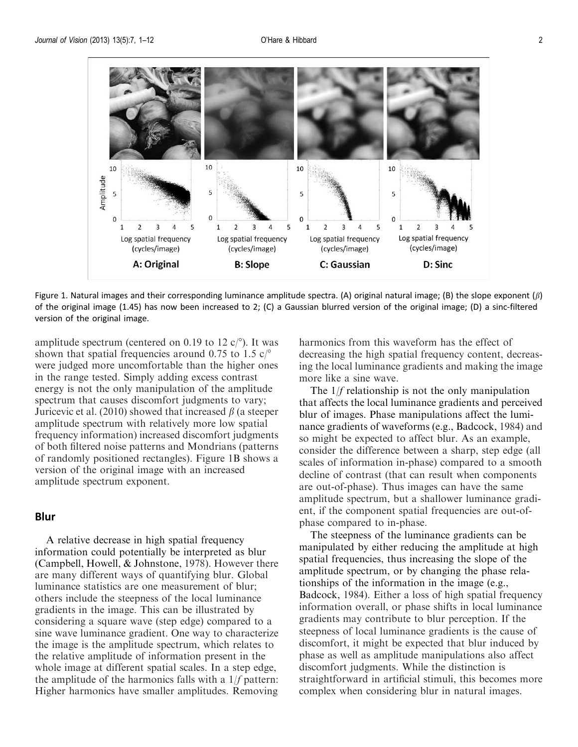<span id="page-1-0"></span>

Figure 1. Natural images and their corresponding luminance amplitude spectra. (A) original natural image; (B) the slope exponent ( $\beta$ ) of the original image (1.45) has now been increased to 2; (C) a Gaussian blurred version of the original image; (D) a sinc-filtered version of the original image.

amplitude spectrum (centered on 0.19 to 12  $c$ /°). It was shown that spatial frequencies around 0.75 to 1.5  $c$ <sup>o</sup> were judged more uncomfortable than the higher ones in the range tested. Simply adding excess contrast energy is not the only manipulation of the amplitude spectrum that causes discomfort judgments to vary; Juricevic et al. [\(2010](#page-11-0)) showed that increased  $\beta$  (a steeper amplitude spectrum with relatively more low spatial frequency information) increased discomfort judgments of both filtered noise patterns and Mondrians (patterns of randomly positioned rectangles). Figure 1B shows a version of the original image with an increased amplitude spectrum exponent.

#### Blur

A relative decrease in high spatial frequency information could potentially be interpreted as blur (Campbell, Howell, & Johnstone, [1978](#page-10-0)). However there are many different ways of quantifying blur. Global luminance statistics are one measurement of blur; others include the steepness of the local luminance gradients in the image. This can be illustrated by considering a square wave (step edge) compared to a sine wave luminance gradient. One way to characterize the image is the amplitude spectrum, which relates to the relative amplitude of information present in the whole image at different spatial scales. In a step edge, the amplitude of the harmonics falls with a  $1/f$  pattern: Higher harmonics have smaller amplitudes. Removing harmonics from this waveform has the effect of decreasing the high spatial frequency content, decreasing the local luminance gradients and making the image more like a sine wave.

The  $1/f$  relationship is not the only manipulation that affects the local luminance gradients and perceived blur of images. Phase manipulations affect the luminance gradients of waveforms (e.g., Badcock, [1984](#page-10-0)) and so might be expected to affect blur. As an example, consider the difference between a sharp, step edge (all scales of information in-phase) compared to a smooth decline of contrast (that can result when components are out-of-phase). Thus images can have the same amplitude spectrum, but a shallower luminance gradient, if the component spatial frequencies are out-ofphase compared to in-phase.

The steepness of the luminance gradients can be manipulated by either reducing the amplitude at high spatial frequencies, thus increasing the slope of the amplitude spectrum, or by changing the phase relationships of the information in the image (e.g., Badcock, [1984\)](#page-10-0). Either a loss of high spatial frequency information overall, or phase shifts in local luminance gradients may contribute to blur perception. If the steepness of local luminance gradients is the cause of discomfort, it might be expected that blur induced by phase as well as amplitude manipulations also affect discomfort judgments. While the distinction is straightforward in artificial stimuli, this becomes more complex when considering blur in natural images.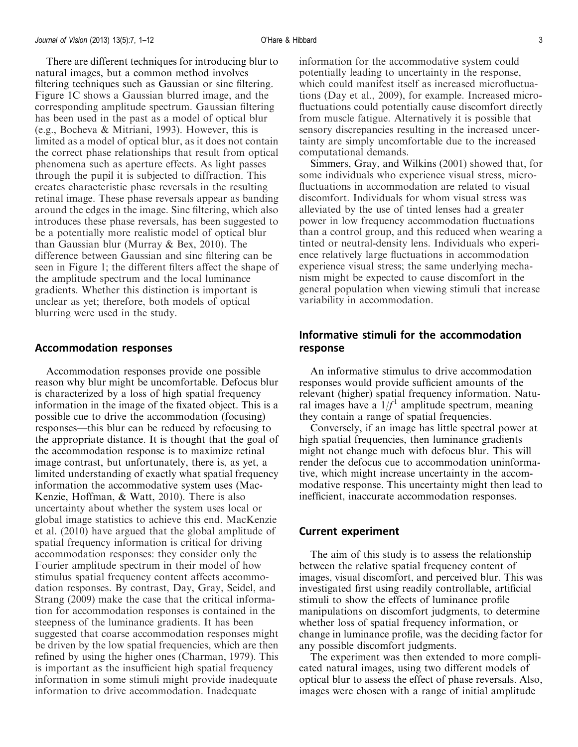There are different techniques for introducing blur to natural images, but a common method involves filtering techniques such as Gaussian or sinc filtering. [Figure 1C](#page-1-0) shows a Gaussian blurred image, and the corresponding amplitude spectrum. Gaussian filtering has been used in the past as a model of optical blur (e.g., Bocheva & Mitriani, [1993\)](#page-10-0). However, this is limited as a model of optical blur, as it does not contain the correct phase relationships that result from optical phenomena such as aperture effects. As light passes through the pupil it is subjected to diffraction. This creates characteristic phase reversals in the resulting retinal image. These phase reversals appear as banding around the edges in the image. Sinc filtering, which also introduces these phase reversals, has been suggested to be a potentially more realistic model of optical blur than Gaussian blur (Murray & Bex, [2010\)](#page-11-0). The difference between Gaussian and sinc filtering can be seen in [Figure 1](#page-1-0); the different filters affect the shape of the amplitude spectrum and the local luminance gradients. Whether this distinction is important is unclear as yet; therefore, both models of optical blurring were used in the study.

#### Accommodation responses

Accommodation responses provide one possible reason why blur might be uncomfortable. Defocus blur is characterized by a loss of high spatial frequency information in the image of the fixated object. This is a possible cue to drive the accommodation (focusing) responses—this blur can be reduced by refocusing to the appropriate distance. It is thought that the goal of the accommodation response is to maximize retinal image contrast, but unfortunately, there is, as yet, a limited understanding of exactly what spatial frequency information the accommodative system uses (Mac-Kenzie, Hoffman, & Watt, [2010\)](#page-11-0). There is also uncertainty about whether the system uses local or global image statistics to achieve this end. MacKenzie et al. ([2010\)](#page-11-0) have argued that the global amplitude of spatial frequency information is critical for driving accommodation responses: they consider only the Fourier amplitude spectrum in their model of how stimulus spatial frequency content affects accommodation responses. By contrast, Day, Gray, Seidel, and Strang [\(2009](#page-10-0)) make the case that the critical information for accommodation responses is contained in the steepness of the luminance gradients. It has been suggested that coarse accommodation responses might be driven by the low spatial frequencies, which are then refined by using the higher ones (Charman, [1979\)](#page-10-0). This is important as the insufficient high spatial frequency information in some stimuli might provide inadequate information to drive accommodation. Inadequate

information for the accommodative system could potentially leading to uncertainty in the response, which could manifest itself as increased microfluctuations (Day et al., [2009\)](#page-10-0), for example. Increased microfluctuations could potentially cause discomfort directly from muscle fatigue. Alternatively it is possible that sensory discrepancies resulting in the increased uncertainty are simply uncomfortable due to the increased computational demands.

Simmers, Gray, and Wilkins [\(2001](#page-11-0)) showed that, for some individuals who experience visual stress, microfluctuations in accommodation are related to visual discomfort. Individuals for whom visual stress was alleviated by the use of tinted lenses had a greater power in low frequency accommodation fluctuations than a control group, and this reduced when wearing a tinted or neutral-density lens. Individuals who experience relatively large fluctuations in accommodation experience visual stress; the same underlying mechanism might be expected to cause discomfort in the general population when viewing stimuli that increase variability in accommodation.

## Informative stimuli for the accommodation response

An informative stimulus to drive accommodation responses would provide sufficient amounts of the relevant (higher) spatial frequency information. Natural images have a  $1/f<sup>1</sup>$  amplitude spectrum, meaning they contain a range of spatial frequencies.

Conversely, if an image has little spectral power at high spatial frequencies, then luminance gradients might not change much with defocus blur. This will render the defocus cue to accommodation uninformative, which might increase uncertainty in the accommodative response. This uncertainty might then lead to inefficient, inaccurate accommodation responses.

#### Current experiment

The aim of this study is to assess the relationship between the relative spatial frequency content of images, visual discomfort, and perceived blur. This was investigated first using readily controllable, artificial stimuli to show the effects of luminance profile manipulations on discomfort judgments, to determine whether loss of spatial frequency information, or change in luminance profile, was the deciding factor for any possible discomfort judgments.

The experiment was then extended to more complicated natural images, using two different models of optical blur to assess the effect of phase reversals. Also, images were chosen with a range of initial amplitude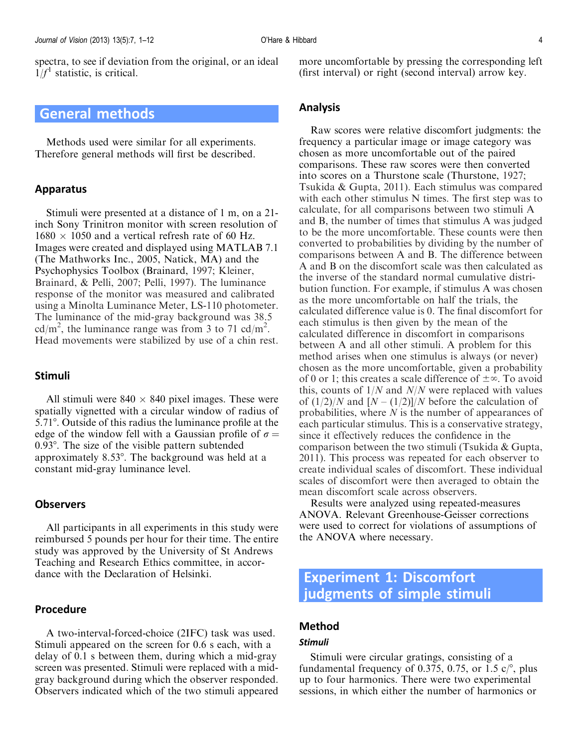<span id="page-3-0"></span>spectra, to see if deviation from the original, or an ideal  $1/f<sup>1</sup>$  statistic, is critical.

## General methods

Methods used were similar for all experiments. Therefore general methods will first be described.

#### Apparatus

Stimuli were presented at a distance of 1 m, on a 21 inch Sony Trinitron monitor with screen resolution of  $1680 \times 1050$  and a vertical refresh rate of 60 Hz. Images were created and displayed using MATLAB 7.1 (The Mathworks Inc., 2005, Natick, MA) and the Psychophysics Toolbox (Brainard, [1997](#page-10-0); Kleiner, Brainard, & Pelli, [2007](#page-11-0); Pelli, [1997\)](#page-11-0). The luminance response of the monitor was measured and calibrated using a Minolta Luminance Meter, LS-110 photometer. The luminance of the mid-gray background was 38.5 cd/m<sup>2</sup>, the luminance range was from 3 to 71 cd/m<sup>2</sup>. Head movements were stabilized by use of a chin rest.

#### Stimuli

All stimuli were  $840 \times 840$  pixel images. These were spatially vignetted with a circular window of radius of 5.718. Outside of this radius the luminance profile at the edge of the window fell with a Gaussian profile of  $\sigma =$  $0.93^\circ$ . The size of the visible pattern subtended approximately  $8.53^{\circ}$ . The background was held at a constant mid-gray luminance level.

#### **Observers**

All participants in all experiments in this study were reimbursed 5 pounds per hour for their time. The entire study was approved by the University of St Andrews Teaching and Research Ethics committee, in accordance with the Declaration of Helsinki.

#### Procedure

A two-interval-forced-choice (2IFC) task was used. Stimuli appeared on the screen for 0.6 s each, with a delay of 0.1 s between them, during which a mid-gray screen was presented. Stimuli were replaced with a midgray background during which the observer responded. Observers indicated which of the two stimuli appeared more uncomfortable by pressing the corresponding left (first interval) or right (second interval) arrow key.

#### Analysis

Raw scores were relative discomfort judgments: the frequency a particular image or image category was chosen as more uncomfortable out of the paired comparisons. These raw scores were then converted into scores on a Thurstone scale (Thurstone, [1927](#page-11-0); Tsukida & Gupta, [2011](#page-11-0)). Each stimulus was compared with each other stimulus N times. The first step was to calculate, for all comparisons between two stimuli A and B, the number of times that stimulus A was judged to be the more uncomfortable. These counts were then converted to probabilities by dividing by the number of comparisons between A and B. The difference between A and B on the discomfort scale was then calculated as the inverse of the standard normal cumulative distribution function. For example, if stimulus A was chosen as the more uncomfortable on half the trials, the calculated difference value is 0. The final discomfort for each stimulus is then given by the mean of the calculated difference in discomfort in comparisons between A and all other stimuli. A problem for this method arises when one stimulus is always (or never) chosen as the more uncomfortable, given a probability of 0 or 1; this creates a scale difference of  $\pm \infty$ . To avoid this, counts of  $1/N$  and  $N/N$  were replaced with values of  $(1/2)/N$  and  $[N-(1/2)]/N$  before the calculation of probabilities, where  $N$  is the number of appearances of each particular stimulus. This is a conservative strategy, since it effectively reduces the confidence in the comparison between the two stimuli (Tsukida & Gupta, [2011\)](#page-11-0). This process was repeated for each observer to create individual scales of discomfort. These individual scales of discomfort were then averaged to obtain the mean discomfort scale across observers.

Results were analyzed using repeated-measures ANOVA. Relevant Greenhouse-Geisser corrections were used to correct for violations of assumptions of the ANOVA where necessary.

# Experiment 1: Discomfort judgments of simple stimuli

## Method

#### Stimuli

Stimuli were circular gratings, consisting of a fundamental frequency of 0.375, 0.75, or 1.5  $c$ <sup>o</sup>, plus up to four harmonics. There were two experimental sessions, in which either the number of harmonics or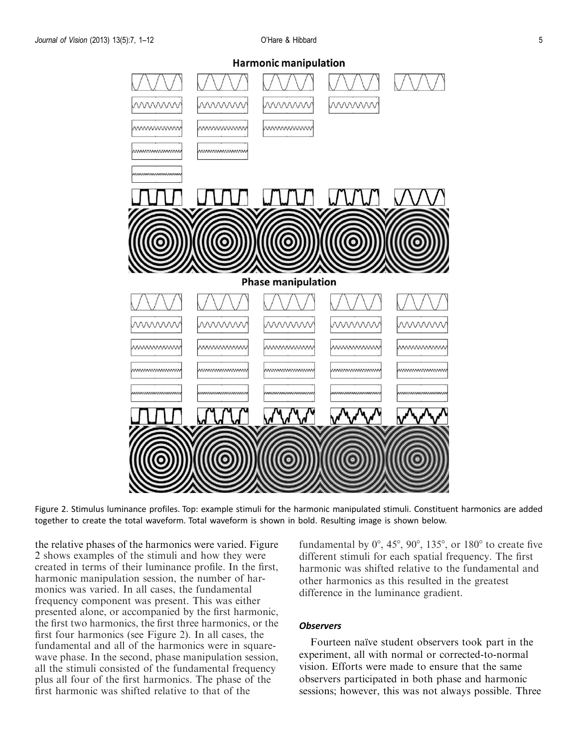

Figure 2. Stimulus luminance profiles. Top: example stimuli for the harmonic manipulated stimuli. Constituent harmonics are added together to create the total waveform. Total waveform is shown in bold. Resulting image is shown below.

the relative phases of the harmonics were varied. Figure 2 shows examples of the stimuli and how they were created in terms of their luminance profile. In the first, harmonic manipulation session, the number of harmonics was varied. In all cases, the fundamental frequency component was present. This was either presented alone, or accompanied by the first harmonic, the first two harmonics, the first three harmonics, or the first four harmonics (see Figure 2). In all cases, the fundamental and all of the harmonics were in squarewave phase. In the second, phase manipulation session, all the stimuli consisted of the fundamental frequency plus all four of the first harmonics. The phase of the first harmonic was shifted relative to that of the

fundamental by  $0^\circ$ , 45°, 90°, 135°, or 180° to create five different stimuli for each spatial frequency. The first harmonic was shifted relative to the fundamental and other harmonics as this resulted in the greatest difference in the luminance gradient.

#### **Observers**

Fourteen naïve student observers took part in the experiment, all with normal or corrected-to-normal vision. Efforts were made to ensure that the same observers participated in both phase and harmonic sessions; however, this was not always possible. Three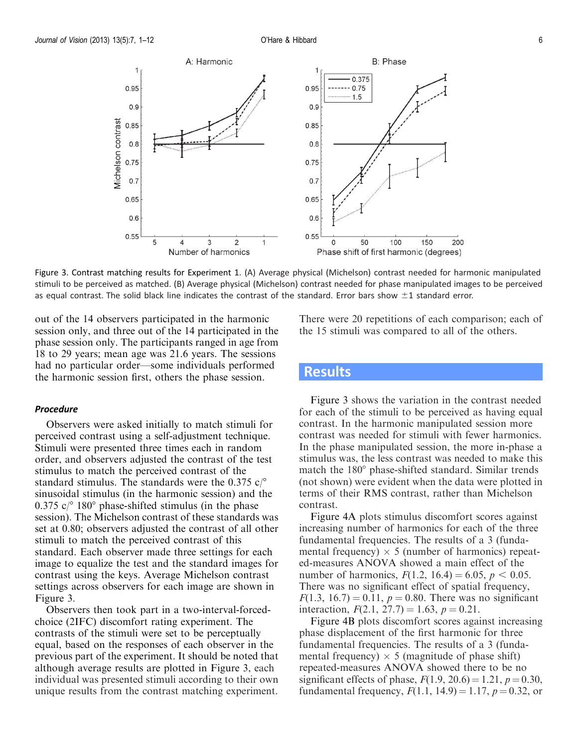

Figure 3. Contrast matching results for [Experiment 1](#page-3-0). (A) Average physical (Michelson) contrast needed for harmonic manipulated stimuli to be perceived as matched. (B) Average physical (Michelson) contrast needed for phase manipulated images to be perceived as equal contrast. The solid black line indicates the contrast of the standard. Error bars show  $\pm 1$  standard error.

out of the 14 observers participated in the harmonic session only, and three out of the 14 participated in the phase session only. The participants ranged in age from 18 to 29 years; mean age was 21.6 years. The sessions had no particular order—some individuals performed the harmonic session first, others the phase session.

#### Procedure

Observers were asked initially to match stimuli for perceived contrast using a self-adjustment technique. Stimuli were presented three times each in random order, and observers adjusted the contrast of the test stimulus to match the perceived contrast of the standard stimulus. The standards were the 0.375  $c$ <sup>o</sup> sinusoidal stimulus (in the harmonic session) and the 0.375  $c$ <sup>o</sup> 180 $\degree$  phase-shifted stimulus (in the phase session). The Michelson contrast of these standards was set at 0.80; observers adjusted the contrast of all other stimuli to match the perceived contrast of this standard. Each observer made three settings for each image to equalize the test and the standard images for contrast using the keys. Average Michelson contrast settings across observers for each image are shown in Figure 3.

Observers then took part in a two-interval-forcedchoice (2IFC) discomfort rating experiment. The contrasts of the stimuli were set to be perceptually equal, based on the responses of each observer in the previous part of the experiment. It should be noted that although average results are plotted in Figure 3, each individual was presented stimuli according to their own unique results from the contrast matching experiment.

There were 20 repetitions of each comparison; each of the 15 stimuli was compared to all of the others.

## **Results**

Figure 3 shows the variation in the contrast needed for each of the stimuli to be perceived as having equal contrast. In the harmonic manipulated session more contrast was needed for stimuli with fewer harmonics. In the phase manipulated session, the more in-phase a stimulus was, the less contrast was needed to make this match the  $180^\circ$  phase-shifted standard. Similar trends (not shown) were evident when the data were plotted in terms of their RMS contrast, rather than Michelson contrast.

[Figure 4A](#page-6-0) plots stimulus discomfort scores against increasing number of harmonics for each of the three fundamental frequencies. The results of a 3 (fundamental frequency)  $\times$  5 (number of harmonics) repeated-measures ANOVA showed a main effect of the number of harmonics,  $F(1.2, 16.4) = 6.05, p < 0.05$ . There was no significant effect of spatial frequency,  $F(1.3, 16.7) = 0.11, p = 0.80$ . There was no significant interaction,  $F(2.1, 27.7) = 1.63$ ,  $p = 0.21$ .

[Figure 4B](#page-6-0) plots discomfort scores against increasing phase displacement of the first harmonic for three fundamental frequencies. The results of a 3 (fundamental frequency)  $\times$  5 (magnitude of phase shift) repeated-measures ANOVA showed there to be no significant effects of phase,  $F(1.9, 20.6) = 1.21, p = 0.30,$ fundamental frequency,  $F(1.1, 14.9) = 1.17$ ,  $p = 0.32$ , or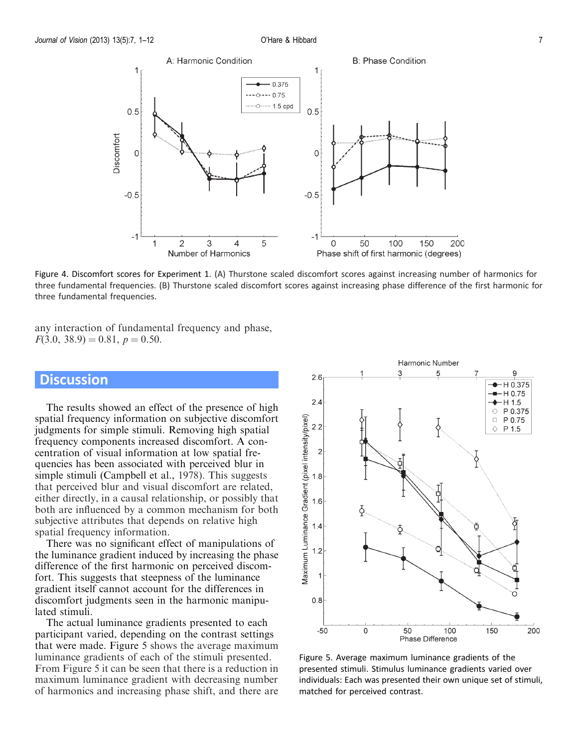<span id="page-6-0"></span>

Figure 4. Discomfort scores for [Experiment 1.](#page-3-0) (A) Thurstone scaled discomfort scores against increasing number of harmonics for three fundamental frequencies. (B) Thurstone scaled discomfort scores against increasing phase difference of the first harmonic for three fundamental frequencies.

any interaction of fundamental frequency and phase,  $F(3.0, 38.9) = 0.81, p = 0.50.$ 

## **Discussion**

The results showed an effect of the presence of high spatial frequency information on subjective discomfort judgments for simple stimuli. Removing high spatial frequency components increased discomfort. A concentration of visual information at low spatial frequencies has been associated with perceived blur in simple stimuli (Campbell et al., [1978\)](#page-10-0). This suggests that perceived blur and visual discomfort are related, either directly, in a causal relationship, or possibly that both are influenced by a common mechanism for both subjective attributes that depends on relative high spatial frequency information.

There was no significant effect of manipulations of the luminance gradient induced by increasing the phase difference of the first harmonic on perceived discomfort. This suggests that steepness of the luminance gradient itself cannot account for the differences in discomfort judgments seen in the harmonic manipulated stimuli.

The actual luminance gradients presented to each participant varied, depending on the contrast settings that were made. Figure 5 shows the average maximum luminance gradients of each of the stimuli presented. From Figure 5 it can be seen that there is a reduction in maximum luminance gradient with decreasing number of harmonics and increasing phase shift, and there are



Figure 5. Average maximum luminance gradients of the presented stimuli. Stimulus luminance gradients varied over individuals: Each was presented their own unique set of stimuli, matched for perceived contrast.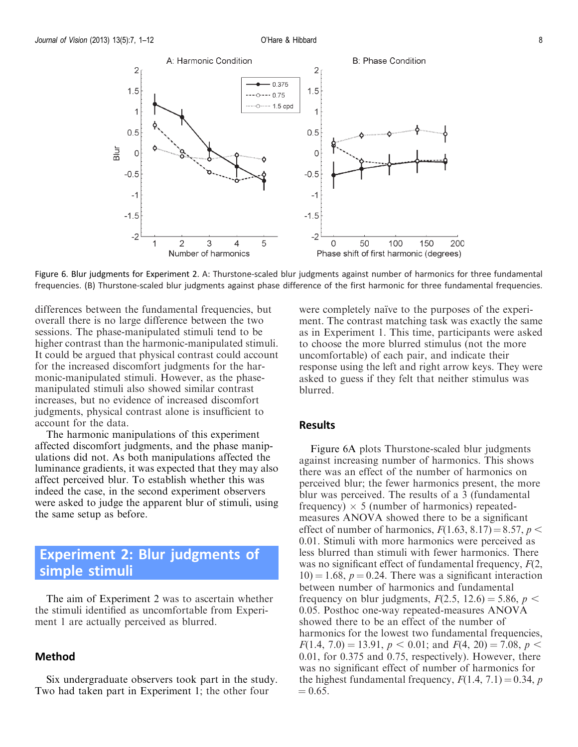<span id="page-7-0"></span>

Figure 6. Blur judgments for Experiment 2. A: Thurstone-scaled blur judgments against number of harmonics for three fundamental frequencies. (B) Thurstone-scaled blur judgments against phase difference of the first harmonic for three fundamental frequencies.

differences between the fundamental frequencies, but overall there is no large difference between the two sessions. The phase-manipulated stimuli tend to be higher contrast than the harmonic-manipulated stimuli. It could be argued that physical contrast could account for the increased discomfort judgments for the harmonic-manipulated stimuli. However, as the phasemanipulated stimuli also showed similar contrast increases, but no evidence of increased discomfort judgments, physical contrast alone is insufficient to account for the data.

The harmonic manipulations of this experiment affected discomfort judgments, and the phase manipulations did not. As both manipulations affected the luminance gradients, it was expected that they may also affect perceived blur. To establish whether this was indeed the case, in the second experiment observers were asked to judge the apparent blur of stimuli, using the same setup as before.

# Experiment 2: Blur judgments of simple stimuli

The aim of Experiment 2 was to ascertain whether the stimuli identified as uncomfortable from [Experi](#page-3-0)[ment 1](#page-3-0) are actually perceived as blurred.

#### Method

Six undergraduate observers took part in the study. Two had taken part in [Experiment 1;](#page-3-0) the other four

were completely naïve to the purposes of the experiment. The contrast matching task was exactly the same as in [Experiment 1](#page-3-0). This time, participants were asked to choose the more blurred stimulus (not the more uncomfortable) of each pair, and indicate their response using the left and right arrow keys. They were asked to guess if they felt that neither stimulus was blurred.

### Results

Figure 6A plots Thurstone-scaled blur judgments against increasing number of harmonics. This shows there was an effect of the number of harmonics on perceived blur; the fewer harmonics present, the more blur was perceived. The results of a 3 (fundamental frequency)  $\times$  5 (number of harmonics) repeatedmeasures ANOVA showed there to be a significant effect of number of harmonics,  $F(1.63, 8.17) = 8.57, p <$ 0.01. Stimuli with more harmonics were perceived as less blurred than stimuli with fewer harmonics. There was no significant effect of fundamental frequency,  $F(2)$ ,  $10) = 1.68$ ,  $p = 0.24$ . There was a significant interaction between number of harmonics and fundamental frequency on blur judgments,  $F(2.5, 12.6) = 5.86$ ,  $p <$ 0.05. Posthoc one-way repeated-measures ANOVA showed there to be an effect of the number of harmonics for the lowest two fundamental frequencies,  $F(1.4, 7.0) = 13.91, p < 0.01$ ; and  $F(4, 20) = 7.08, p <$ 0.01, for 0.375 and 0.75, respectively). However, there was no significant effect of number of harmonics for the highest fundamental frequency,  $F(1.4, 7.1) = 0.34$ , p.  $= 0.65.$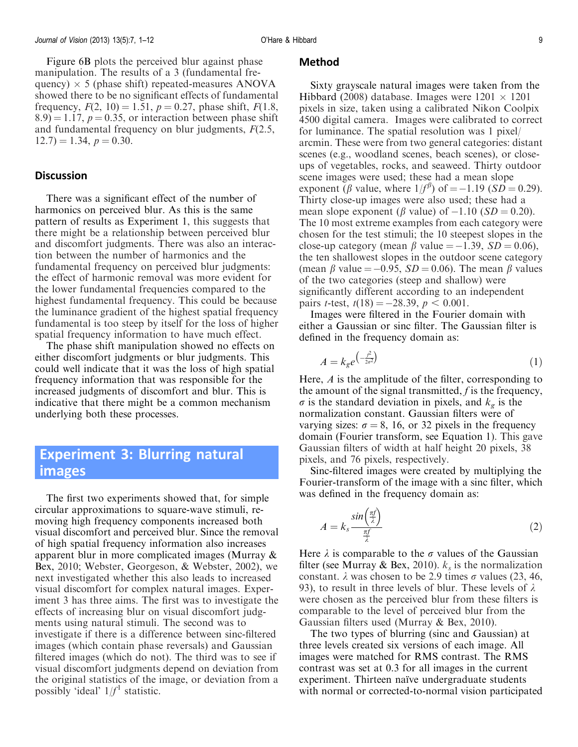<span id="page-8-0"></span>[Figure 6B](#page-7-0) plots the perceived blur against phase manipulation. The results of a 3 (fundamental frequency)  $\times$  5 (phase shift) repeated-measures ANOVA showed there to be no significant effects of fundamental frequency,  $F(2, 10) = 1.51$ ,  $p = 0.27$ , phase shift,  $F(1.8, 1.6)$  $(8.9) = 1.17$ ,  $p = 0.35$ , or interaction between phase shift and fundamental frequency on blur judgments,  $F(2.5, 1.5)$  $12.7 = 1.34, p = 0.30.$ 

#### **Discussion**

There was a significant effect of the number of harmonics on perceived blur. As this is the same pattern of results as [Experiment 1](#page-3-0), this suggests that there might be a relationship between perceived blur and discomfort judgments. There was also an interaction between the number of harmonics and the fundamental frequency on perceived blur judgments: the effect of harmonic removal was more evident for the lower fundamental frequencies compared to the highest fundamental frequency. This could be because the luminance gradient of the highest spatial frequency fundamental is too steep by itself for the loss of higher spatial frequency information to have much effect.

The phase shift manipulation showed no effects on either discomfort judgments or blur judgments. This could well indicate that it was the loss of high spatial frequency information that was responsible for the increased judgments of discomfort and blur. This is indicative that there might be a common mechanism underlying both these processes.

# Experiment 3: Blurring natural images

The first two experiments showed that, for simple circular approximations to square-wave stimuli, removing high frequency components increased both visual discomfort and perceived blur. Since the removal of high spatial frequency information also increases apparent blur in more complicated images (Murray & Bex, [2010](#page-11-0); Webster, Georgeson, & Webster, [2002](#page-11-0)), we next investigated whether this also leads to increased visual discomfort for complex natural images. Experiment 3 has three aims. The first was to investigate the effects of increasing blur on visual discomfort judgments using natural stimuli. The second was to investigate if there is a difference between sinc-filtered images (which contain phase reversals) and Gaussian filtered images (which do not). The third was to see if visual discomfort judgments depend on deviation from the original statistics of the image, or deviation from a possibly 'ideal'  $1/f<sup>1</sup>$  statistic.

#### Method

Sixty grayscale natural images were taken from the Hibbard [\(2008\)](#page-11-0) database. Images were  $1201 \times 1201$ pixels in size, taken using a calibrated Nikon Coolpix 4500 digital camera. Images were calibrated to correct for luminance. The spatial resolution was 1 pixel/ arcmin. These were from two general categories: distant scenes (e.g., woodland scenes, beach scenes), or closeups of vegetables, rocks, and seaweed. Thirty outdoor scene images were used; these had a mean slope exponent ( $\beta$  value, where  $1/f^{\beta}$ ) of = -1.19 (SD = 0.29). Thirty close-up images were also used; these had a mean slope exponent ( $\beta$  value) of  $-1.10$  ( $SD = 0.20$ ). The 10 most extreme examples from each category were chosen for the test stimuli; the 10 steepest slopes in the close-up category (mean  $\beta$  value  $= -1.39$ ,  $SD = 0.06$ ), the ten shallowest slopes in the outdoor scene category (mean  $\beta$  value = -0.95,  $SD = 0.06$ ). The mean  $\beta$  values of the two categories (steep and shallow) were significantly different according to an independent pairs *t*-test,  $t(18) = -28.39, p < 0.001$ .

Images were filtered in the Fourier domain with either a Gaussian or sinc filter. The Gaussian filter is defined in the frequency domain as:

$$
A = k_g e^{\left(-\frac{f^2}{2\sigma^2}\right)}\tag{1}
$$

Here, A is the amplitude of the filter, corresponding to the amount of the signal transmitted,  $f$  is the frequency,  $\sigma$  is the standard deviation in pixels, and  $k_g$  is the normalization constant. Gaussian filters were of varying sizes:  $\sigma = 8$ , 16, or 32 pixels in the frequency domain (Fourier transform, see Equation 1). This gave Gaussian filters of width at half height 20 pixels, 38 pixels, and 76 pixels, respectively.

Sinc-filtered images were created by multiplying the Fourier-transform of the image with a sinc filter, which was defined in the frequency domain as:

$$
A = k_s \frac{\sin\left(\frac{\pi f}{\lambda}\right)}{\frac{\pi f}{\lambda}}
$$
 (2)

Here  $\lambda$  is comparable to the  $\sigma$  values of the Gaussian filter (see Murray & Bex, [2010](#page-11-0)).  $k_s$  is the normalization constant.  $\lambda$  was chosen to be 2.9 times  $\sigma$  values (23, 46, 93), to result in three levels of blur. These levels of  $\lambda$ were chosen as the perceived blur from these filters is comparable to the level of perceived blur from the Gaussian filters used (Murray & Bex, [2010](#page-11-0)).

The two types of blurring (sinc and Gaussian) at three levels created six versions of each image. All images were matched for RMS contrast. The RMS contrast was set at 0.3 for all images in the current experiment. Thirteen naïve undergraduate students with normal or corrected-to-normal vision participated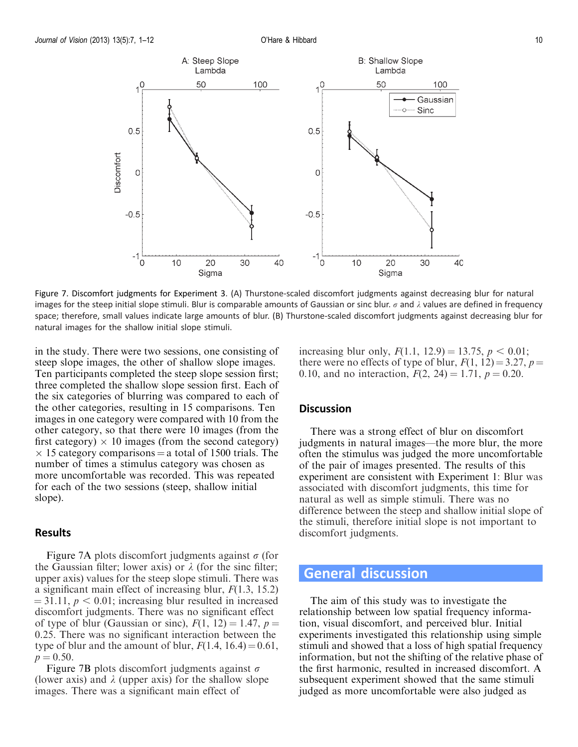

Figure 7. Discomfort judgments for [Experiment 3.](#page-8-0) (A) Thurstone-scaled discomfort judgments against decreasing blur for natural images for the steep initial slope stimuli. Blur is comparable amounts of Gaussian or sinc blur.  $\sigma$  and  $\lambda$  values are defined in frequency space; therefore, small values indicate large amounts of blur. (B) Thurstone-scaled discomfort judgments against decreasing blur for natural images for the shallow initial slope stimuli.

in the study. There were two sessions, one consisting of steep slope images, the other of shallow slope images. Ten participants completed the steep slope session first; three completed the shallow slope session first. Each of the six categories of blurring was compared to each of the other categories, resulting in 15 comparisons. Ten images in one category were compared with 10 from the other category, so that there were 10 images (from the first category)  $\times$  10 images (from the second category)  $\times$  15 category comparisons = a total of 1500 trials. The number of times a stimulus category was chosen as more uncomfortable was recorded. This was repeated for each of the two sessions (steep, shallow initial slope).

#### Results

Figure 7A plots discomfort judgments against  $\sigma$  (for the Gaussian filter; lower axis) or  $\lambda$  (for the sinc filter; upper axis) values for the steep slope stimuli. There was a significant main effect of increasing blur,  $F(1.3, 15.2)$  $=$  31.11,  $p < 0.01$ ; increasing blur resulted in increased discomfort judgments. There was no significant effect of type of blur (Gaussian or sinc),  $F(1, 12) = 1.47$ ,  $p =$ 0.25. There was no significant interaction between the type of blur and the amount of blur,  $F(1.4, 16.4) = 0.61$ ,  $p = 0.50$ .

Figure 7B plots discomfort judgments against  $\sigma$ (lower axis) and  $\lambda$  (upper axis) for the shallow slope images. There was a significant main effect of

increasing blur only,  $F(1.1, 12.9) = 13.75, p < 0.01;$ there were no effects of type of blur,  $F(1, 12) = 3.27$ ,  $p =$ 0.10, and no interaction,  $F(2, 24) = 1.71$ ,  $p = 0.20$ .

#### **Discussion**

There was a strong effect of blur on discomfort judgments in natural images—the more blur, the more often the stimulus was judged the more uncomfortable of the pair of images presented. The results of this experiment are consistent with [Experiment 1](#page-3-0): Blur was associated with discomfort judgments, this time for natural as well as simple stimuli. There was no difference between the steep and shallow initial slope of the stimuli, therefore initial slope is not important to discomfort judgments.

## General discussion

The aim of this study was to investigate the relationship between low spatial frequency information, visual discomfort, and perceived blur. Initial experiments investigated this relationship using simple stimuli and showed that a loss of high spatial frequency information, but not the shifting of the relative phase of the first harmonic, resulted in increased discomfort. A subsequent experiment showed that the same stimuli judged as more uncomfortable were also judged as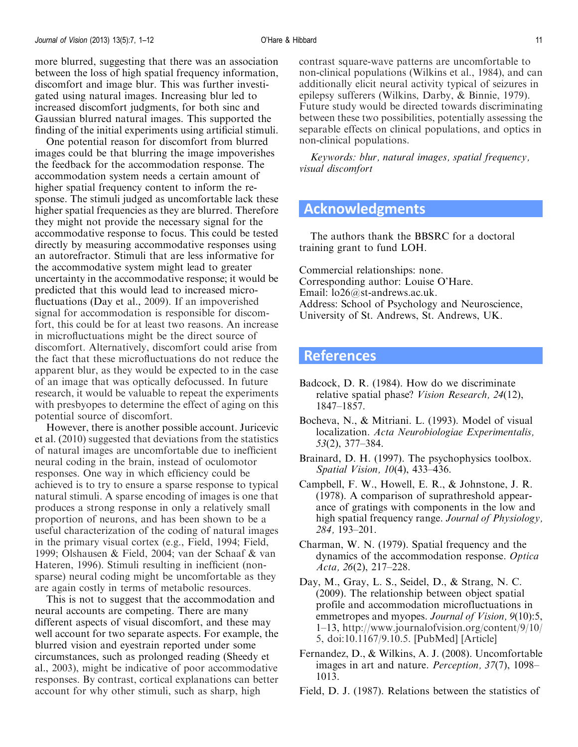<span id="page-10-0"></span>more blurred, suggesting that there was an association between the loss of high spatial frequency information, discomfort and image blur. This was further investigated using natural images. Increasing blur led to increased discomfort judgments, for both sinc and Gaussian blurred natural images. This supported the finding of the initial experiments using artificial stimuli.

One potential reason for discomfort from blurred images could be that blurring the image impoverishes the feedback for the accommodation response. The accommodation system needs a certain amount of higher spatial frequency content to inform the response. The stimuli judged as uncomfortable lack these higher spatial frequencies as they are blurred. Therefore they might not provide the necessary signal for the accommodative response to focus. This could be tested directly by measuring accommodative responses using an autorefractor. Stimuli that are less informative for the accommodative system might lead to greater uncertainty in the accommodative response; it would be predicted that this would lead to increased microfluctuations (Day et al., 2009). If an impoverished signal for accommodation is responsible for discomfort, this could be for at least two reasons. An increase in microfluctuations might be the direct source of discomfort. Alternatively, discomfort could arise from the fact that these microfluctuations do not reduce the apparent blur, as they would be expected to in the case of an image that was optically defocussed. In future research, it would be valuable to repeat the experiments with presbyopes to determine the effect of aging on this potential source of discomfort.

However, there is another possible account. Juricevic et al. ([2010\)](#page-11-0) suggested that deviations from the statistics of natural images are uncomfortable due to inefficient neural coding in the brain, instead of oculomotor responses. One way in which efficiency could be achieved is to try to ensure a sparse response to typical natural stimuli. A sparse encoding of images is one that produces a strong response in only a relatively small proportion of neurons, and has been shown to be a useful characterization of the coding of natural images in the primary visual cortex (e.g., Field, [1994](#page-11-0); Field, [1999;](#page-11-0) Olshausen & Field, [2004](#page-11-0); van der Schaaf & van Hateren, [1996](#page-11-0)). Stimuli resulting in inefficient (nonsparse) neural coding might be uncomfortable as they are again costly in terms of metabolic resources.

This is not to suggest that the accommodation and neural accounts are competing. There are many different aspects of visual discomfort, and these may well account for two separate aspects. For example, the blurred vision and eyestrain reported under some circumstances, such as prolonged reading (Sheedy et al., [2003\)](#page-11-0), might be indicative of poor accommodative responses. By contrast, cortical explanations can better account for why other stimuli, such as sharp, high

contrast square-wave patterns are uncomfortable to non-clinical populations (Wilkins et al., [1984](#page-11-0)), and can additionally elicit neural activity typical of seizures in epilepsy sufferers (Wilkins, Darby, & Binnie, [1979](#page-11-0)). Future study would be directed towards discriminating between these two possibilities, potentially assessing the separable effects on clinical populations, and optics in non-clinical populations.

Keywords: blur, natural images, spatial frequency, visual discomfort

# Acknowledgments

The authors thank the BBSRC for a doctoral training grant to fund LOH.

Commercial relationships: none. Corresponding author: Louise O'Hare. Email:  $\log_{10}(a)$ st-andrews.ac.uk. Address: School of Psychology and Neuroscience, University of St. Andrews, St. Andrews, UK.

## References

- Badcock, D. R. (1984). How do we discriminate relative spatial phase? Vision Research, 24(12), 1847–1857.
- Bocheva, N., & Mitriani. L. (1993). Model of visual localization. Acta Neurobiologiae Experimentalis, 53(2), 377–384.
- Brainard, D. H. (1997). The psychophysics toolbox. Spatial Vision, 10(4), 433–436.
- Campbell, F. W., Howell, E. R., & Johnstone, J. R. (1978). A comparison of suprathreshold appearance of gratings with components in the low and high spatial frequency range. Journal of Physiology, 284, 193–201.
- Charman, W. N. (1979). Spatial frequency and the dynamics of the accommodation response. Optica Acta, 26(2), 217–228.
- Day, M., Gray, L. S., Seidel, D., & Strang, N. C. (2009). The relationship between object spatial profile and accommodation microfluctuations in emmetropes and myopes. Journal of Vision, 9(10):5, 1–13, [http://www.journalofvision.org/content/9/10/](http://www.journalofvision.org/content/9/10/5) [5](http://www.journalofvision.org/content/9/10/5), doi:10.1167/9.10.5. [[PubMed](http://www.ncbi.nlm.nih.gov/pubmed/19810786)] [[Article\]](http://www.journalofvision.org/content/9/10/5.long)
- Fernandez, D., & Wilkins, A. J. (2008). Uncomfortable images in art and nature. Perception, 37(7), 1098– 1013.
- Field, D. J. (1987). Relations between the statistics of